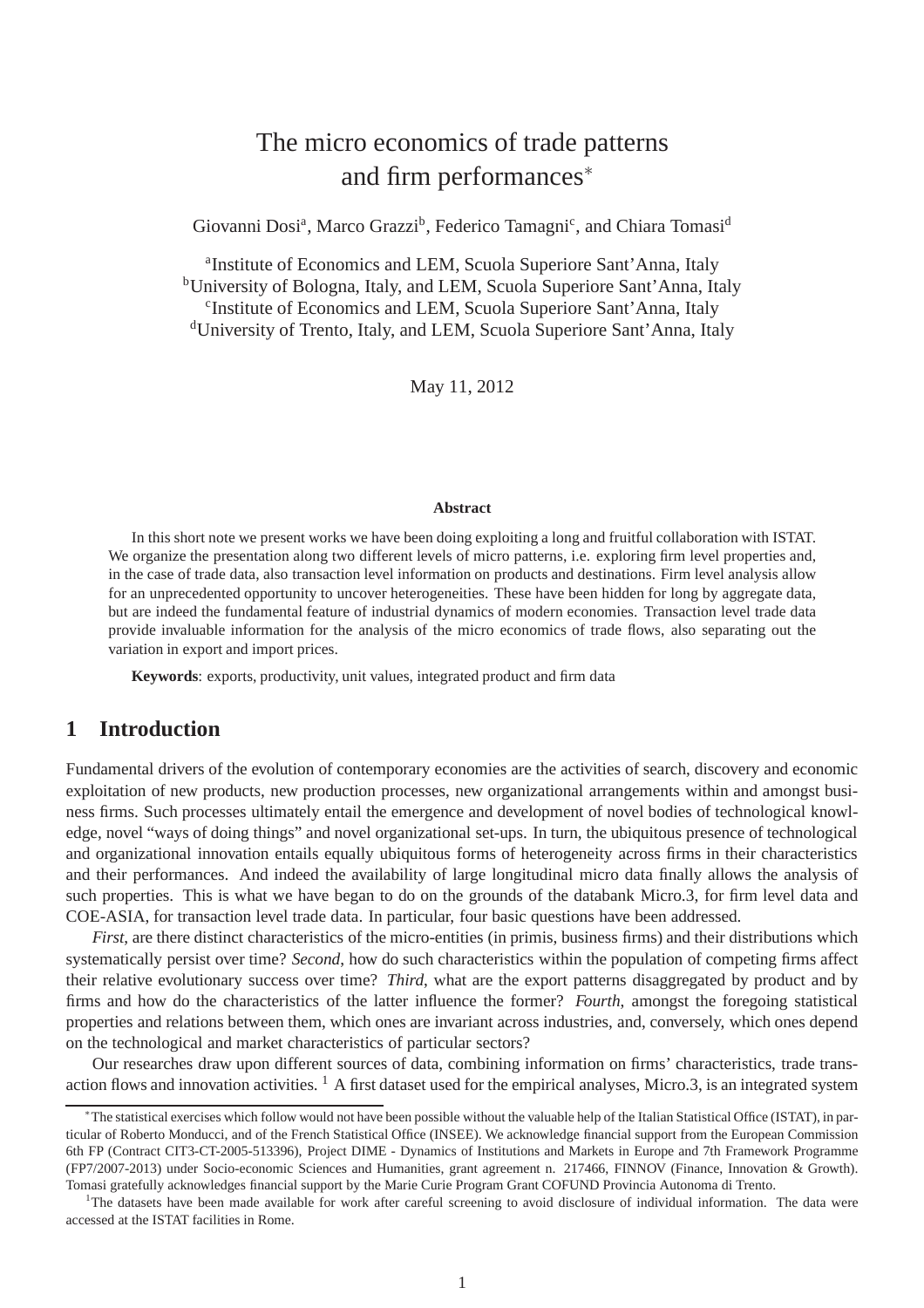# The micro economics of trade patterns and firm performances<sup>∗</sup>

Giovanni Dosi<sup>a</sup>, Marco Grazzi<sup>b</sup>, Federico Tamagni<sup>c</sup>, and Chiara Tomasi<sup>d</sup>

<sup>a</sup>Institute of Economics and LEM, Scuola Superiore Sant'Anna, Italy <sup>b</sup>University of Bologna, Italy, and LEM, Scuola Superiore Sant'Anna, Italy c Institute of Economics and LEM, Scuola Superiore Sant'Anna, Italy <sup>d</sup>University of Trento, Italy, and LEM, Scuola Superiore Sant'Anna, Italy

May 11, 2012

#### **Abstract**

In this short note we present works we have been doing exploiting a long and fruitful collaboration with ISTAT. We organize the presentation along two different levels of micro patterns, i.e. exploring firm level properties and, in the case of trade data, also transaction level information on products and destinations. Firm level analysis allow for an unprecedented opportunity to uncover heterogeneities. These have been hidden for long by aggregate data, but are indeed the fundamental feature of industrial dynamics of modern economies. Transaction level trade data provide invaluable information for the analysis of the micro economics of trade flows, also separating out the variation in export and import prices.

**Keywords**: exports, productivity, unit values, integrated product and firm data

### **1 Introduction**

Fundamental drivers of the evolution of contemporary economies are the activities of search, discovery and economic exploitation of new products, new production processes, new organizational arrangements within and amongst business firms. Such processes ultimately entail the emergence and development of novel bodies of technological knowledge, novel "ways of doing things" and novel organizational set-ups. In turn, the ubiquitous presence of technological and organizational innovation entails equally ubiquitous forms of heterogeneity across firms in their characteristics and their performances. And indeed the availability of large longitudinal micro data finally allows the analysis of such properties. This is what we have began to do on the grounds of the databank Micro.3, for firm level data and COE-ASIA, for transaction level trade data. In particular, four basic questions have been addressed.

*First*, are there distinct characteristics of the micro-entities (in primis, business firms) and their distributions which systematically persist over time? *Second*, how do such characteristics within the population of competing firms affect their relative evolutionary success over time? *Third*, what are the export patterns disaggregated by product and by firms and how do the characteristics of the latter influence the former? *Fourth*, amongst the foregoing statistical properties and relations between them, which ones are invariant across industries, and, conversely, which ones depend on the technological and market characteristics of particular sectors?

Our researches draw upon different sources of data, combining information on firms' characteristics, trade transaction flows and innovation activities.  $1$  A first dataset used for the empirical analyses, Micro.3, is an integrated system

<sup>∗</sup>The statistical exercises which follow would not have been possible without the valuable help of the Italian Statistical Office (ISTAT), in particular of Roberto Monducci, and of the French Statistical Office (INSEE). We acknowledge financial support from the European Commission 6th FP (Contract CIT3-CT-2005-513396), Project DIME - Dynamics of Institutions and Markets in Europe and 7th Framework Programme (FP7/2007-2013) under Socio-economic Sciences and Humanities, grant agreement n. 217466, FINNOV (Finance, Innovation & Growth). Tomasi gratefully acknowledges financial support by the Marie Curie Program Grant COFUND Provincia Autonoma di Trento.

<sup>&</sup>lt;sup>1</sup>The datasets have been made available for work after careful screening to avoid disclosure of individual information. The data were accessed at the ISTAT facilities in Rome.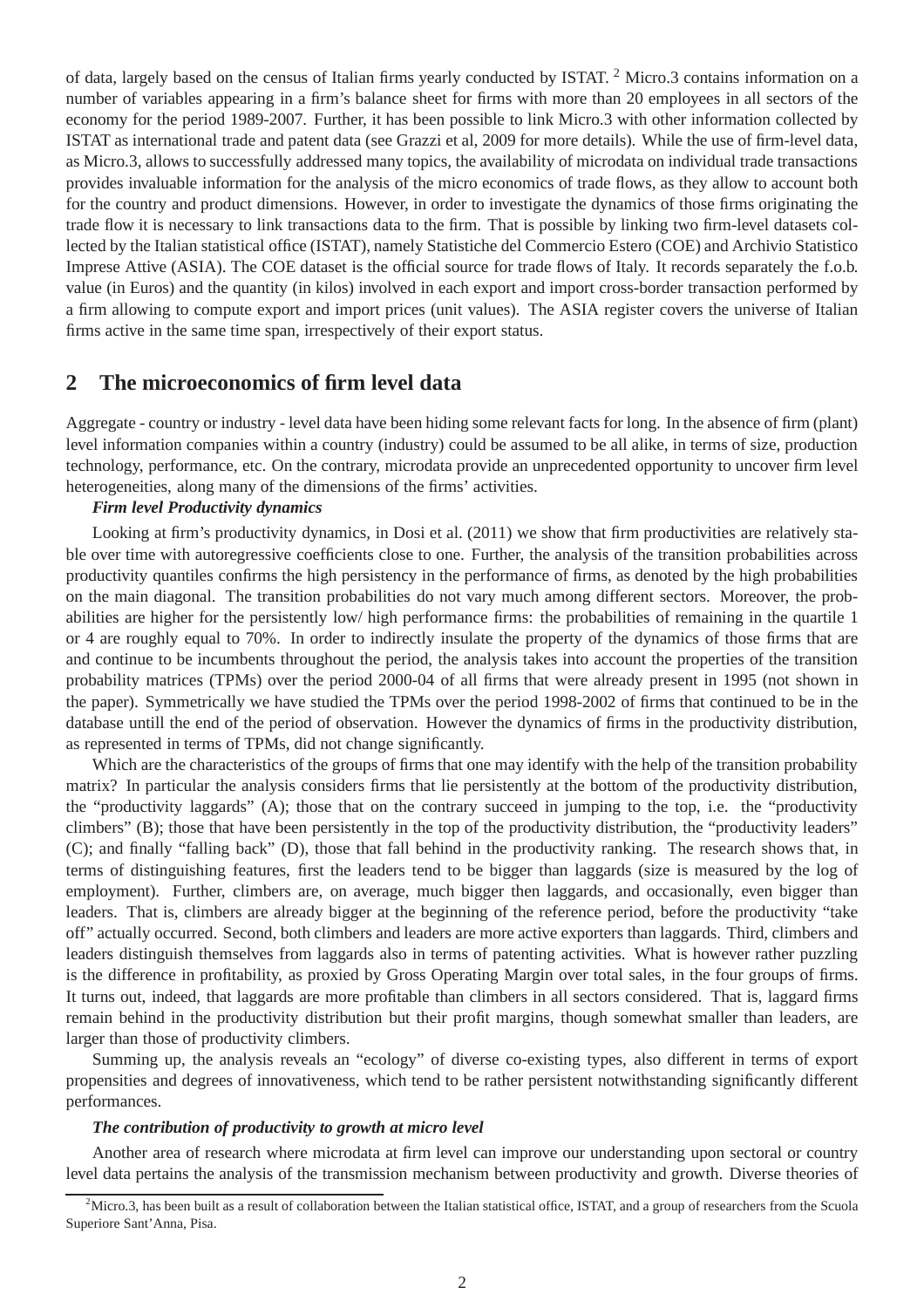of data, largely based on the census of Italian firms yearly conducted by ISTAT. <sup>2</sup> Micro.3 contains information on a number of variables appearing in a firm's balance sheet for firms with more than 20 employees in all sectors of the economy for the period 1989-2007. Further, it has been possible to link Micro.3 with other information collected by ISTAT as international trade and patent data (see Grazzi et al, 2009 for more details). While the use of firm-level data, as Micro.3, allows to successfully addressed many topics, the availability of microdata on individual trade transactions provides invaluable information for the analysis of the micro economics of trade flows, as they allow to account both for the country and product dimensions. However, in order to investigate the dynamics of those firms originating the trade flow it is necessary to link transactions data to the firm. That is possible by linking two firm-level datasets collected by the Italian statistical office (ISTAT), namely Statistiche del Commercio Estero (COE) and Archivio Statistico Imprese Attive (ASIA). The COE dataset is the official source for trade flows of Italy. It records separately the f.o.b. value (in Euros) and the quantity (in kilos) involved in each export and import cross-border transaction performed by a firm allowing to compute export and import prices (unit values). The ASIA register covers the universe of Italian firms active in the same time span, irrespectively of their export status.

### **2 The microeconomics of firm level data**

Aggregate - country or industry - level data have been hiding some relevant facts for long. In the absence of firm (plant) level information companies within a country (industry) could be assumed to be all alike, in terms of size, production technology, performance, etc. On the contrary, microdata provide an unprecedented opportunity to uncover firm level heterogeneities, along many of the dimensions of the firms' activities.

#### *Firm level Productivity dynamics*

Looking at firm's productivity dynamics, in Dosi et al. (2011) we show that firm productivities are relatively stable over time with autoregressive coefficients close to one. Further, the analysis of the transition probabilities across productivity quantiles confirms the high persistency in the performance of firms, as denoted by the high probabilities on the main diagonal. The transition probabilities do not vary much among different sectors. Moreover, the probabilities are higher for the persistently low/ high performance firms: the probabilities of remaining in the quartile 1 or 4 are roughly equal to 70%. In order to indirectly insulate the property of the dynamics of those firms that are and continue to be incumbents throughout the period, the analysis takes into account the properties of the transition probability matrices (TPMs) over the period 2000-04 of all firms that were already present in 1995 (not shown in the paper). Symmetrically we have studied the TPMs over the period 1998-2002 of firms that continued to be in the database untill the end of the period of observation. However the dynamics of firms in the productivity distribution, as represented in terms of TPMs, did not change significantly.

Which are the characteristics of the groups of firms that one may identify with the help of the transition probability matrix? In particular the analysis considers firms that lie persistently at the bottom of the productivity distribution, the "productivity laggards" (A); those that on the contrary succeed in jumping to the top, i.e. the "productivity climbers" (B); those that have been persistently in the top of the productivity distribution, the "productivity leaders" (C); and finally "falling back" (D), those that fall behind in the productivity ranking. The research shows that, in terms of distinguishing features, first the leaders tend to be bigger than laggards (size is measured by the log of employment). Further, climbers are, on average, much bigger then laggards, and occasionally, even bigger than leaders. That is, climbers are already bigger at the beginning of the reference period, before the productivity "take off" actually occurred. Second, both climbers and leaders are more active exporters than laggards. Third, climbers and leaders distinguish themselves from laggards also in terms of patenting activities. What is however rather puzzling is the difference in profitability, as proxied by Gross Operating Margin over total sales, in the four groups of firms. It turns out, indeed, that laggards are more profitable than climbers in all sectors considered. That is, laggard firms remain behind in the productivity distribution but their profit margins, though somewhat smaller than leaders, are larger than those of productivity climbers.

Summing up, the analysis reveals an "ecology" of diverse co-existing types, also different in terms of export propensities and degrees of innovativeness, which tend to be rather persistent notwithstanding significantly different performances.

#### *The contribution of productivity to growth at micro level*

Another area of research where microdata at firm level can improve our understanding upon sectoral or country level data pertains the analysis of the transmission mechanism between productivity and growth. Diverse theories of

 $2$ Micro.3, has been built as a result of collaboration between the Italian statistical office, ISTAT, and a group of researchers from the Scuola Superiore Sant'Anna, Pisa.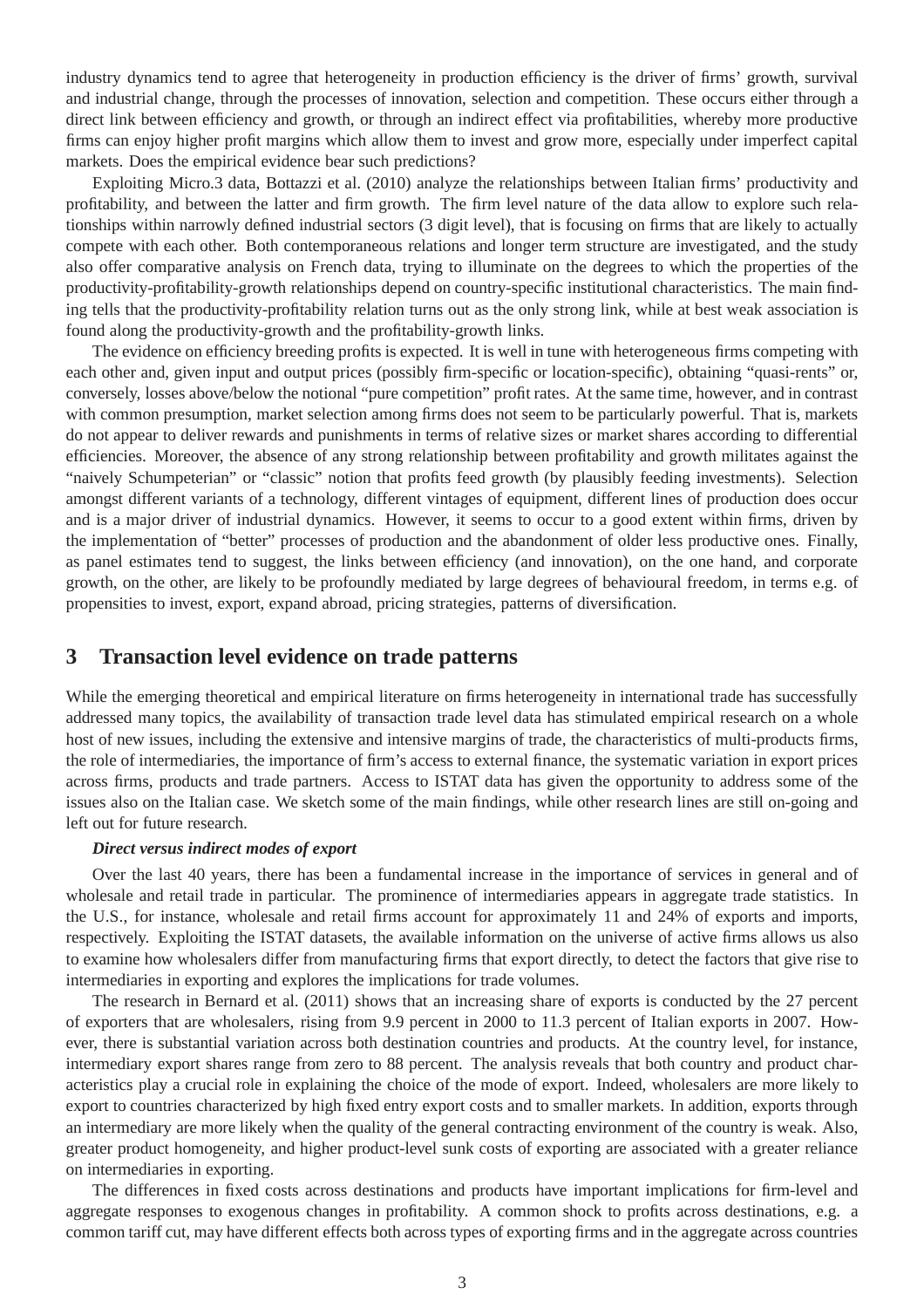industry dynamics tend to agree that heterogeneity in production efficiency is the driver of firms' growth, survival and industrial change, through the processes of innovation, selection and competition. These occurs either through a direct link between efficiency and growth, or through an indirect effect via profitabilities, whereby more productive firms can enjoy higher profit margins which allow them to invest and grow more, especially under imperfect capital markets. Does the empirical evidence bear such predictions?

Exploiting Micro.3 data, Bottazzi et al. (2010) analyze the relationships between Italian firms' productivity and profitability, and between the latter and firm growth. The firm level nature of the data allow to explore such relationships within narrowly defined industrial sectors (3 digit level), that is focusing on firms that are likely to actually compete with each other. Both contemporaneous relations and longer term structure are investigated, and the study also offer comparative analysis on French data, trying to illuminate on the degrees to which the properties of the productivity-profitability-growth relationships depend on country-specific institutional characteristics. The main finding tells that the productivity-profitability relation turns out as the only strong link, while at best weak association is found along the productivity-growth and the profitability-growth links.

The evidence on efficiency breeding profits is expected. It is well in tune with heterogeneous firms competing with each other and, given input and output prices (possibly firm-specific or location-specific), obtaining "quasi-rents" or, conversely, losses above/below the notional "pure competition" profit rates. At the same time, however, and in contrast with common presumption, market selection among firms does not seem to be particularly powerful. That is, markets do not appear to deliver rewards and punishments in terms of relative sizes or market shares according to differential efficiencies. Moreover, the absence of any strong relationship between profitability and growth militates against the "naively Schumpeterian" or "classic" notion that profits feed growth (by plausibly feeding investments). Selection amongst different variants of a technology, different vintages of equipment, different lines of production does occur and is a major driver of industrial dynamics. However, it seems to occur to a good extent within firms, driven by the implementation of "better" processes of production and the abandonment of older less productive ones. Finally, as panel estimates tend to suggest, the links between efficiency (and innovation), on the one hand, and corporate growth, on the other, are likely to be profoundly mediated by large degrees of behavioural freedom, in terms e.g. of propensities to invest, export, expand abroad, pricing strategies, patterns of diversification.

### **3 Transaction level evidence on trade patterns**

While the emerging theoretical and empirical literature on firms heterogeneity in international trade has successfully addressed many topics, the availability of transaction trade level data has stimulated empirical research on a whole host of new issues, including the extensive and intensive margins of trade, the characteristics of multi-products firms, the role of intermediaries, the importance of firm's access to external finance, the systematic variation in export prices across firms, products and trade partners. Access to ISTAT data has given the opportunity to address some of the issues also on the Italian case. We sketch some of the main findings, while other research lines are still on-going and left out for future research.

#### *Direct versus indirect modes of export*

Over the last 40 years, there has been a fundamental increase in the importance of services in general and of wholesale and retail trade in particular. The prominence of intermediaries appears in aggregate trade statistics. In the U.S., for instance, wholesale and retail firms account for approximately 11 and 24% of exports and imports, respectively. Exploiting the ISTAT datasets, the available information on the universe of active firms allows us also to examine how wholesalers differ from manufacturing firms that export directly, to detect the factors that give rise to intermediaries in exporting and explores the implications for trade volumes.

The research in Bernard et al. (2011) shows that an increasing share of exports is conducted by the 27 percent of exporters that are wholesalers, rising from 9.9 percent in 2000 to 11.3 percent of Italian exports in 2007. However, there is substantial variation across both destination countries and products. At the country level, for instance, intermediary export shares range from zero to 88 percent. The analysis reveals that both country and product characteristics play a crucial role in explaining the choice of the mode of export. Indeed, wholesalers are more likely to export to countries characterized by high fixed entry export costs and to smaller markets. In addition, exports through an intermediary are more likely when the quality of the general contracting environment of the country is weak. Also, greater product homogeneity, and higher product-level sunk costs of exporting are associated with a greater reliance on intermediaries in exporting.

The differences in fixed costs across destinations and products have important implications for firm-level and aggregate responses to exogenous changes in profitability. A common shock to profits across destinations, e.g. a common tariff cut, may have different effects both across types of exporting firms and in the aggregate across countries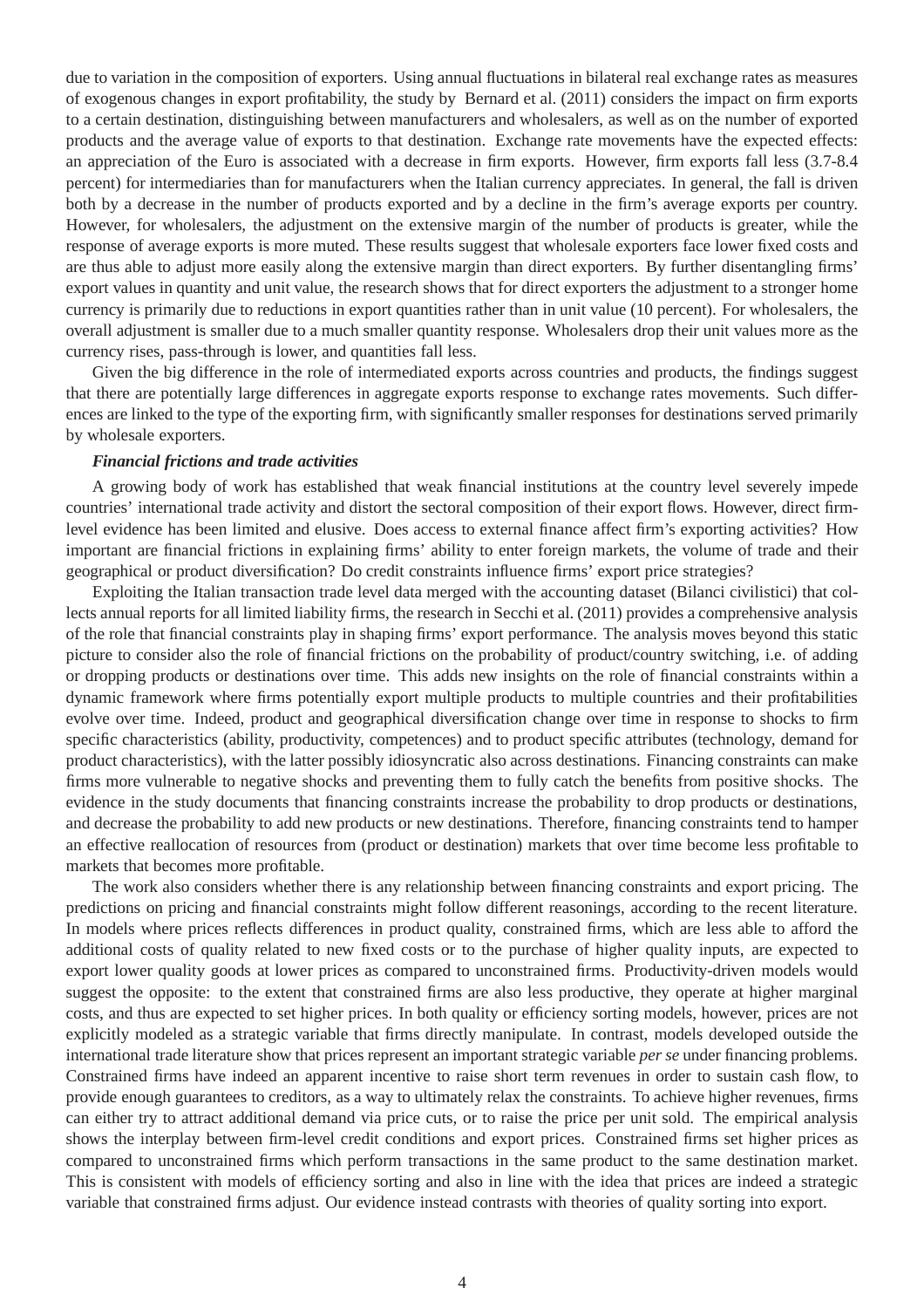due to variation in the composition of exporters. Using annual fluctuations in bilateral real exchange rates as measures of exogenous changes in export profitability, the study by Bernard et al. (2011) considers the impact on firm exports to a certain destination, distinguishing between manufacturers and wholesalers, as well as on the number of exported products and the average value of exports to that destination. Exchange rate movements have the expected effects: an appreciation of the Euro is associated with a decrease in firm exports. However, firm exports fall less (3.7-8.4 percent) for intermediaries than for manufacturers when the Italian currency appreciates. In general, the fall is driven both by a decrease in the number of products exported and by a decline in the firm's average exports per country. However, for wholesalers, the adjustment on the extensive margin of the number of products is greater, while the response of average exports is more muted. These results suggest that wholesale exporters face lower fixed costs and are thus able to adjust more easily along the extensive margin than direct exporters. By further disentangling firms' export values in quantity and unit value, the research shows that for direct exporters the adjustment to a stronger home currency is primarily due to reductions in export quantities rather than in unit value (10 percent). For wholesalers, the overall adjustment is smaller due to a much smaller quantity response. Wholesalers drop their unit values more as the currency rises, pass-through is lower, and quantities fall less.

Given the big difference in the role of intermediated exports across countries and products, the findings suggest that there are potentially large differences in aggregate exports response to exchange rates movements. Such differences are linked to the type of the exporting firm, with significantly smaller responses for destinations served primarily by wholesale exporters.

#### *Financial frictions and trade activities*

A growing body of work has established that weak financial institutions at the country level severely impede countries' international trade activity and distort the sectoral composition of their export flows. However, direct firmlevel evidence has been limited and elusive. Does access to external finance affect firm's exporting activities? How important are financial frictions in explaining firms' ability to enter foreign markets, the volume of trade and their geographical or product diversification? Do credit constraints influence firms' export price strategies?

Exploiting the Italian transaction trade level data merged with the accounting dataset (Bilanci civilistici) that collects annual reports for all limited liability firms, the research in Secchi et al. (2011) provides a comprehensive analysis of the role that financial constraints play in shaping firms' export performance. The analysis moves beyond this static picture to consider also the role of financial frictions on the probability of product/country switching, i.e. of adding or dropping products or destinations over time. This adds new insights on the role of financial constraints within a dynamic framework where firms potentially export multiple products to multiple countries and their profitabilities evolve over time. Indeed, product and geographical diversification change over time in response to shocks to firm specific characteristics (ability, productivity, competences) and to product specific attributes (technology, demand for product characteristics), with the latter possibly idiosyncratic also across destinations. Financing constraints can make firms more vulnerable to negative shocks and preventing them to fully catch the benefits from positive shocks. The evidence in the study documents that financing constraints increase the probability to drop products or destinations, and decrease the probability to add new products or new destinations. Therefore, financing constraints tend to hamper an effective reallocation of resources from (product or destination) markets that over time become less profitable to markets that becomes more profitable.

The work also considers whether there is any relationship between financing constraints and export pricing. The predictions on pricing and financial constraints might follow different reasonings, according to the recent literature. In models where prices reflects differences in product quality, constrained firms, which are less able to afford the additional costs of quality related to new fixed costs or to the purchase of higher quality inputs, are expected to export lower quality goods at lower prices as compared to unconstrained firms. Productivity-driven models would suggest the opposite: to the extent that constrained firms are also less productive, they operate at higher marginal costs, and thus are expected to set higher prices. In both quality or efficiency sorting models, however, prices are not explicitly modeled as a strategic variable that firms directly manipulate. In contrast, models developed outside the international trade literature show that prices represent an important strategic variable *per se* under financing problems. Constrained firms have indeed an apparent incentive to raise short term revenues in order to sustain cash flow, to provide enough guarantees to creditors, as a way to ultimately relax the constraints. To achieve higher revenues, firms can either try to attract additional demand via price cuts, or to raise the price per unit sold. The empirical analysis shows the interplay between firm-level credit conditions and export prices. Constrained firms set higher prices as compared to unconstrained firms which perform transactions in the same product to the same destination market. This is consistent with models of efficiency sorting and also in line with the idea that prices are indeed a strategic variable that constrained firms adjust. Our evidence instead contrasts with theories of quality sorting into export.